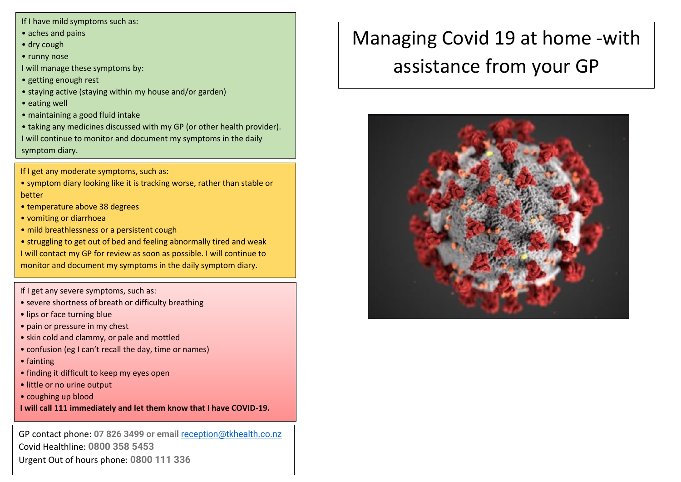If I have mild symptoms such as:

- aches and pains
- dry cough
- runny nose
- I will manage these symptoms by:
- getting enough rest
- staying active (staying within my house and/or garden)
- eating well
- maintaining a good fluid intake
- taking any medicines discussed with my GP (or other health provider). I will continue to monitor and document my symptoms in the daily symptom diary.
- If I get any moderate symptoms, such as:
- symptom diary looking like it is tracking worse, rather than stable or better
- temperature above 38 degrees
- vomiting or diarrhoea
- mild breathlessness or a persistent cough
- struggling to get out of bed and feeling abnormally tired and weak I will contact my GP for review as soon as possible. I will continue to monitor and document my symptoms in the daily symptom diary.
- If I get any severe symptoms, such as:
- severe shortness of breath or difficulty breathing
- lips or face turning blue
- pain or pressure in my chest
- skin cold and clammy, or pale and mottled
- confusion (eg I can't recall the day, time or names)
- fainting
- finding it difficult to keep my eyes open
- little or no urine output
- coughing up blood
- **I will call 111 immediately and let them know that I have COVID-19.**

GP contact phone: **07 826 3499 or email** [reception@tkhealth.co.nz](mailto:reception@tkhealth.co.nz) Covid Healthline: **0800 358 5453** Urgent Out of hours phone: **0800 111 336**

# Managing Covid 19 at home -with assistance from your GP

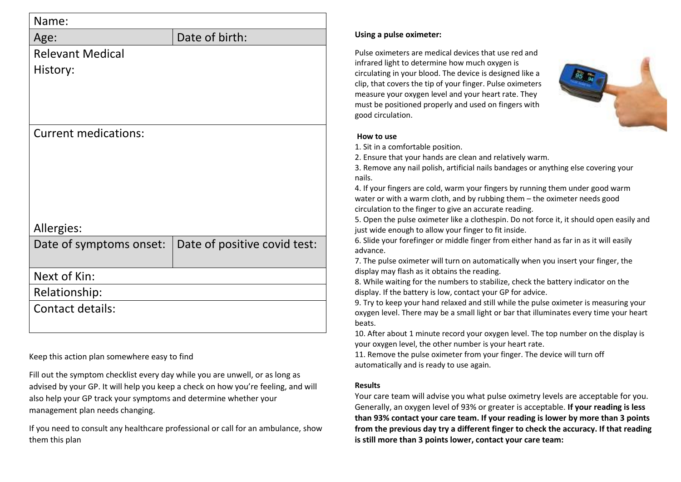| Name:                       |                              |
|-----------------------------|------------------------------|
| Age:                        | Date of birth:               |
| <b>Relevant Medical</b>     |                              |
| History:                    |                              |
|                             |                              |
|                             |                              |
|                             |                              |
| <b>Current medications:</b> |                              |
|                             |                              |
|                             |                              |
|                             |                              |
|                             |                              |
|                             |                              |
| Allergies:                  |                              |
| Date of symptoms onset:     | Date of positive covid test: |
|                             |                              |
| Next of Kin:                |                              |
| Relationship:               |                              |
| <b>Contact details:</b>     |                              |
|                             |                              |
|                             |                              |

Keep this action plan somewhere easy to find

Fill out the symptom checklist every day while you are unwell, or as long as advised by your GP. It will help you keep a check on how you're feeling, and will also help your GP track your symptoms and determine whether your management plan needs changing.

If you need to consult any healthcare professional or call for an ambulance, show them this plan

## **Using a pulse oximeter:**

Pulse oximeters are medical devices that use red and infrared light to determine how much oxygen is circulating in your blood. The device is designed like a clip, that covers the tip of your finger. Pulse oximeters measure your oxygen level and your heart rate. They must be positioned properly and used on fingers with good circulation.



## **How to use**

1. Sit in a comfortable position.

2. Ensure that your hands are clean and relatively warm.

3. Remove any nail polish, artificial nails bandages or anything else covering your nails.

4. If your fingers are cold, warm your fingers by running them under good warm water or with a warm cloth, and by rubbing them – the oximeter needs good circulation to the finger to give an accurate reading.

5. Open the pulse oximeter like a clothespin. Do not force it, it should open easily and just wide enough to allow your finger to fit inside.

6. Slide your forefinger or middle finger from either hand as far in as it will easily advance.

7. The pulse oximeter will turn on automatically when you insert your finger, the display may flash as it obtains the reading.

8. While waiting for the numbers to stabilize, check the battery indicator on the display. If the battery is low, contact your GP for advice.

9. Try to keep your hand relaxed and still while the pulse oximeter is measuring your oxygen level. There may be a small light or bar that illuminates every time your heart beats.

10. After about 1 minute record your oxygen level. The top number on the display is your oxygen level, the other number is your heart rate.

11. Remove the pulse oximeter from your finger. The device will turn off automatically and is ready to use again.

## **Results**

Your care team will advise you what pulse oximetry levels are acceptable for you. Generally, an oxygen level of 93% or greater is acceptable. **If your reading is less than 93% contact your care team. If your reading is lower by more than 3 points from the previous day try a different finger to check the accuracy. If that reading is still more than 3 points lower, contact your care team:**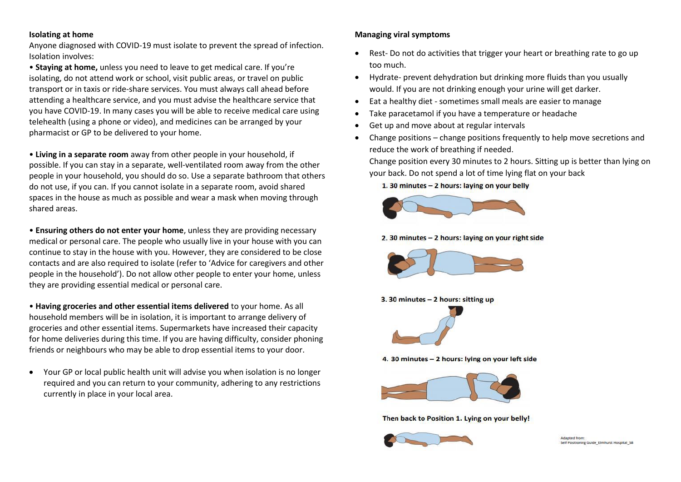## **Isolating at home**

Anyone diagnosed with COVID-19 must isolate to prevent the spread of infection. Isolation involves:

• **Staying at home,** unless you need to leave to get medical care. If you're isolating, do not attend work or school, visit public areas, or travel on public transport or in taxis or ride-share services. You must always call ahead before attending a healthcare service, and you must advise the healthcare service that you have COVID-19. In many cases you will be able to receive medical care using telehealth (using a phone or video), and medicines can be arranged by your pharmacist or GP to be delivered to your home.

• **Living in a separate room** away from other people in your household, if possible. If you can stay in a separate, well-ventilated room away from the other people in your household, you should do so. Use a separate bathroom that others do not use, if you can. If you cannot isolate in a separate room, avoid shared spaces in the house as much as possible and wear a mask when moving through shared areas.

• **Ensuring others do not enter your home**, unless they are providing necessary medical or personal care. The people who usually live in your house with you can continue to stay in the house with you. However, they are considered to be close contacts and are also required to isolate (refer to 'Advice for caregivers and other people in the household'). Do not allow other people to enter your home, unless they are providing essential medical or personal care.

• **Having groceries and other essential items delivered** to your home. As all household members will be in isolation, it is important to arrange delivery of groceries and other essential items. Supermarkets have increased their capacity for home deliveries during this time. If you are having difficulty, consider phoning friends or neighbours who may be able to drop essential items to your door.

• Your GP or local public health unit will advise you when isolation is no longer required and you can return to your community, adhering to any restrictions currently in place in your local area.

## **Managing viral symptoms**

- Rest- Do not do activities that trigger your heart or breathing rate to go up too much.
- Hydrate- prevent dehydration but drinking more fluids than you usually would. If you are not drinking enough your urine will get darker.
- Eat a healthy diet sometimes small meals are easier to manage
- Take paracetamol if you have a temperature or headache
- Get up and move about at regular intervals
- Change positions change positions frequently to help move secretions and reduce the work of breathing if needed.

Change position every 30 minutes to 2 hours. Sitting up is better than lying on your back. Do not spend a lot of time lying flat on your back

1. 30 minutes - 2 hours: laving on your belly



2. 30 minutes - 2 hours: laying on your right side



3. 30 minutes - 2 hours: sitting up



4. 30 minutes - 2 hours: lying on your left side



Then back to Position 1. Lying on your belly!



Adapted from Self Positioning Guide Elmhurst Hospital SE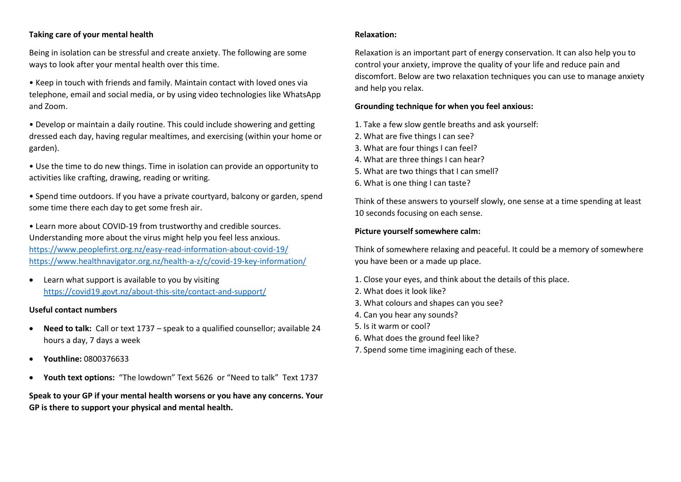## **Taking care of your mental health**

Being in isolation can be stressful and create anxiety. The following are some ways to look after your mental health over this time.

- Keep in touch with friends and family. Maintain contact with loved ones via telephone, email and social media, or by using video technologies like WhatsApp and Zoom.
- Develop or maintain a daily routine. This could include showering and getting dressed each day, having regular mealtimes, and exercising (within your home or garden).
- Use the time to do new things. Time in isolation can provide an opportunity to activities like crafting, drawing, reading or writing.

• Spend time outdoors. If you have a private courtyard, balcony or garden, spend some time there each day to get some fresh air.

• Learn more about COVID-19 from trustworthy and credible sources. Understanding more about the virus might help you feel less anxious. <https://www.peoplefirst.org.nz/easy-read-information-about-covid-19/> <https://www.healthnavigator.org.nz/health-a-z/c/covid-19-key-information/>

• Learn what support is available to you by visiting <https://covid19.govt.nz/about-this-site/contact-and-support/>

## **Useful contact numbers**

- **Need to talk:** Call or text 1737 speak to a qualified counsellor; available 24 hours a day, 7 days a week
- **Youthline:** 0800376633
- **Youth text options:** "The lowdown" Text 5626 or "Need to talk" Text 1737

**Speak to your GP if your mental health worsens or you have any concerns. Your GP is there to support your physical and mental health.**

## **Relaxation:**

Relaxation is an important part of energy conservation. It can also help you to control your anxiety, improve the quality of your life and reduce pain and discomfort. Below are two relaxation techniques you can use to manage anxiety and help you relax.

#### **Grounding technique for when you feel anxious:**

- 1. Take a few slow gentle breaths and ask yourself:
- 2. What are five things I can see?
- 3. What are four things I can feel?
- 4. What are three things I can hear?
- 5. What are two things that I can smell?
- 6. What is one thing I can taste?

Think of these answers to yourself slowly, one sense at a time spending at least 10 seconds focusing on each sense.

#### **Picture yourself somewhere calm:**

Think of somewhere relaxing and peaceful. It could be a memory of somewhere you have been or a made up place.

- 1. Close your eyes, and think about the details of this place.
- 2. What does it look like?
- 3. What colours and shapes can you see?
- 4. Can you hear any sounds?
- 5. Is it warm or cool?
- 6. What does the ground feel like?
- 7. Spend some time imagining each of these.